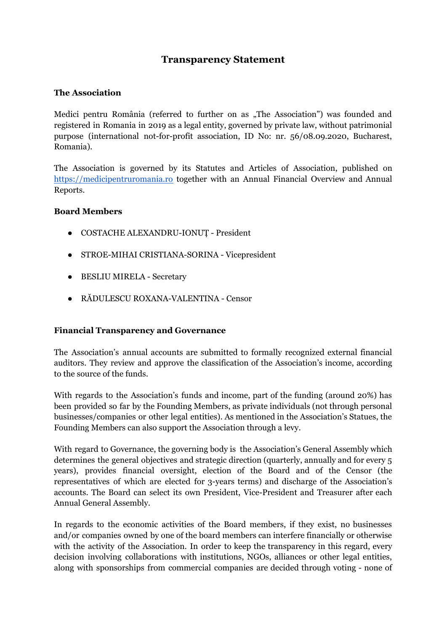# **Transparency Statement**

### **The Association**

Medici pentru România (referred to further on as "The Association") was founded and registered in Romania in 2019 as a legal entity, governed by private law, without patrimonial purpose (international not-for-profit association, ID No: nr. 56/08.09.2020, Bucharest, Romania).

The Association is governed by its Statutes and Articles of Association, published on <https://medicipentruromania.ro> together with an Annual Financial Overview and Annual Reports.

#### **Board Members**

- COSTACHE ALEXANDRU-IONUȚ President
- STROE-MIHAI CRISTIANA-SORINA Vicepresident
- BESLIU MIRELA Secretary
- RĂDULESCU ROXANA-VALENTINA Censor

#### **Financial Transparency and Governance**

The Association's annual accounts are submitted to formally recognized external financial auditors. They review and approve the classification of the Association's income, according to the source of the funds.

With regards to the Association's funds and income, part of the funding (around 20%) has been provided so far by the Founding Members, as private individuals (not through personal businesses/companies or other legal entities). As mentioned in the Association's Statues, the Founding Members can also support the Association through a levy.

With regard to Governance, the governing body is the Association's General Assembly which determines the general objectives and strategic direction (quarterly, annually and for every 5 years), provides financial oversight, election of the Board and of the Censor (the representatives of which are elected for 3-years terms) and discharge of the Association's accounts. The Board can select its own President, Vice-President and Treasurer after each Annual General Assembly.

In regards to the economic activities of the Board members, if they exist, no businesses and/or companies owned by one of the board members can interfere financially or otherwise with the activity of the Association. In order to keep the transparency in this regard, every decision involving collaborations with institutions, NGOs, alliances or other legal entities, along with sponsorships from commercial companies are decided through voting - none of